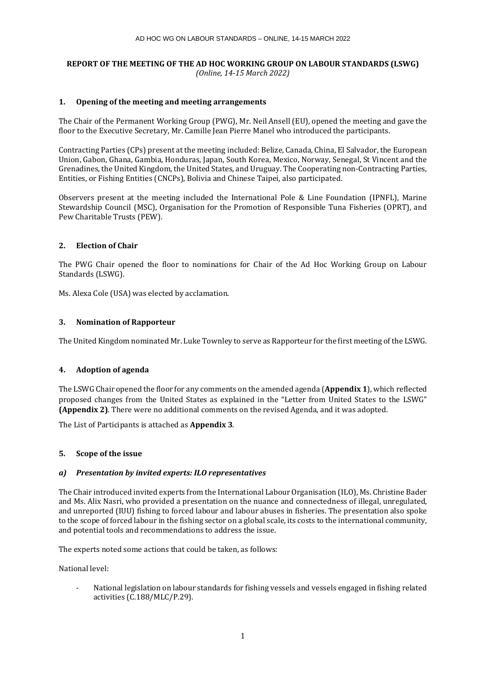# **REPORT OF THE MEETING OF THE AD HOC WORKING GROUP ON LABOUR STANDARDS (LSWG)** *(Online, 14-15 March 2022)*

# **1. Opening of the meeting and meeting arrangements**

The Chair of the Permanent Working Group (PWG), Mr. Neil Ansell (EU), opened the meeting and gave the floor to the Executive Secretary, Mr. Camille Jean Pierre Manel who introduced the participants.

Contracting Parties (CPs) present at the meeting included: Belize, Canada, China, El Salvador, the European Union, Gabon, Ghana, Gambia, Honduras, Japan, South Korea, Mexico, Norway, Senegal, St Vincent and the Grenadines, the United Kingdom, the United States, and Uruguay. The Cooperating non-Contracting Parties, Entities, or Fishing Entities (CNCPs), Bolivia and Chinese Taipei, also participated.

Observers present at the meeting included the International Pole & Line Foundation (IPNFL), Marine Stewardship Council (MSC), Organisation for the Promotion of Responsible Tuna Fisheries (OPRT), and Pew Charitable Trusts (PEW).

# **2. Election of Chair**

The PWG Chair opened the floor to nominations for Chair of the Ad Hoc Working Group on Labour Standards (LSWG).

Ms. Alexa Cole (USA) was elected by acclamation.

# **3. Nomination of Rapporteur**

The United Kingdom nominated Mr. Luke Townley to serve as Rapporteur for the first meeting of the LSWG.

# **4. Adoption of agenda**

The LSWG Chair opened the floor for any comments on the amended agenda (**Appendix 1**), which reflected proposed changes from the United States as explained in the "Letter from United States to the LSWG" **(Appendix 2)**. There were no additional comments on the revised Agenda, and it was adopted.

The List of Participants is attached as **Appendix 3**.

# **5. Scope of the issue**

# *a) Presentation by invited experts: ILO representatives*

The Chair introduced invited experts from the International Labour Organisation (ILO), Ms. Christine Bader and Ms. Alix Nasri, who provided a presentation on the nuance and connectedness of illegal, unregulated, and unreported (IUU) fishing to forced labour and labour abuses in fisheries. The presentation also spoke to the scope of forced labour in the fishing sector on a global scale, its costs to the international community, and potential tools and recommendations to address the issue.

The experts noted some actions that could be taken, as follows:

National level:

- National legislation on labour standards for fishing vessels and vessels engaged in fishing related activities (C.188/MLC/P.29).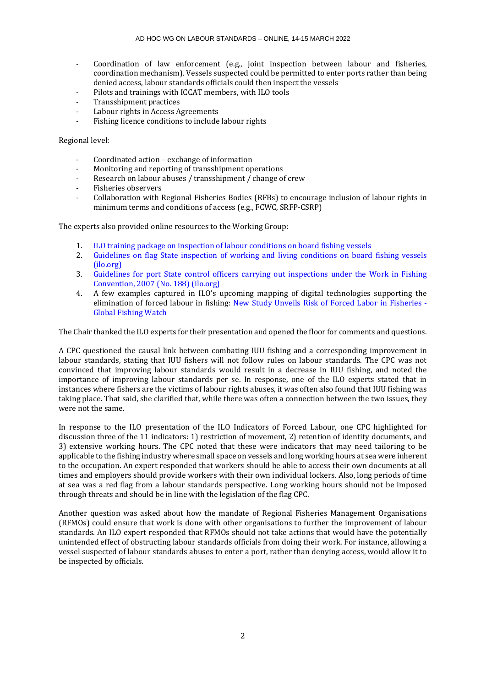- Coordination of law enforcement (e.g., joint inspection between labour and fisheries, coordination mechanism). Vessels suspected could be permitted to enter ports rather than being denied access, labour standards officials could then inspect the vessels
- Pilots and trainings with ICCAT members, with ILO tools
- Transshipment practices
- Labour rights in Access Agreements
- Fishing licence conditions to include labour rights

Regional level:

- Coordinated action exchange of information
- Monitoring and reporting of transshipment operations
- Research on labour abuses / transshipment / change of crew
- Fisheries observers
- Collaboration with Regional Fisheries Bodies (RFBs) to encourage inclusion of labour rights in minimum terms and conditions of access (e.g., FCWC, SRFP-CSRP)

The experts also provided online resources to the Working Group:

- 1. [ILO training package on inspection of labour conditions on board fishing vessels](https://www.ilo.org/sector/Resources/training-materials/WCMS_766744/lang--en/index.htm)<br>2. Guidelines on flag State inspection of working and living conditions on board
- 2. [Guidelines on flag State inspection of working and living conditions on board fishing vessels](https://www.ilo.org/sector/Resources/codes-of-practice-and-guidelines/WCMS_428592/lang--en/index.htm)  [\(ilo.org\)](https://www.ilo.org/sector/Resources/codes-of-practice-and-guidelines/WCMS_428592/lang--en/index.htm)
- 3. [Guidelines for port State control officers carrying out inspections under the Work in Fishing](https://www.ilo.org/sector/Resources/codes-of-practice-and-guidelines/WCMS_177245/lang--en/index.htm)  [Convention, 2007 \(No. 188\) \(ilo.org\)](https://www.ilo.org/sector/Resources/codes-of-practice-and-guidelines/WCMS_177245/lang--en/index.htm)
- 4. A few examples captured in ILO's upcoming mapping of digital technologies supporting the elimination of forced labour in fishing: [New Study Unveils Risk of Forced Labor in Fisheries -](https://globalfishingwatch.org/research/forced-labor-in-fisheries/) [Global Fishing Watch](https://globalfishingwatch.org/research/forced-labor-in-fisheries/)

The Chair thanked the ILO experts for their presentation and opened the floor for comments and questions.

A CPC questioned the causal link between combating IUU fishing and a corresponding improvement in labour standards, stating that IUU fishers will not follow rules on labour standards. The CPC was not convinced that improving labour standards would result in a decrease in IUU fishing, and noted the importance of improving labour standards per se. In response, one of the ILO experts stated that in instances where fishers are the victims of labour rights abuses, it was often also found that IUU fishing was taking place. That said, she clarified that, while there was often a connection between the two issues, they were not the same.

In response to the ILO presentation of the ILO Indicators of Forced Labour, one CPC highlighted for discussion three of the 11 indicators: 1) restriction of movement, 2) retention of identity documents, and 3) extensive working hours. The CPC noted that these were indicators that may need tailoring to be applicable to the fishing industry where small space on vessels and long working hours at sea were inherent to the occupation. An expert responded that workers should be able to access their own documents at all times and employers should provide workers with their own individual lockers. Also, long periods of time at sea was a red flag from a labour standards perspective. Long working hours should not be imposed through threats and should be in line with the legislation of the flag CPC.

Another question was asked about how the mandate of Regional Fisheries Management Organisations (RFMOs) could ensure that work is done with other organisations to further the improvement of labour standards. An ILO expert responded that RFMOs should not take actions that would have the potentially unintended effect of obstructing labour standards officials from doing their work. For instance, allowing a vessel suspected of labour standards abuses to enter a port, rather than denying access, would allow it to be inspected by officials.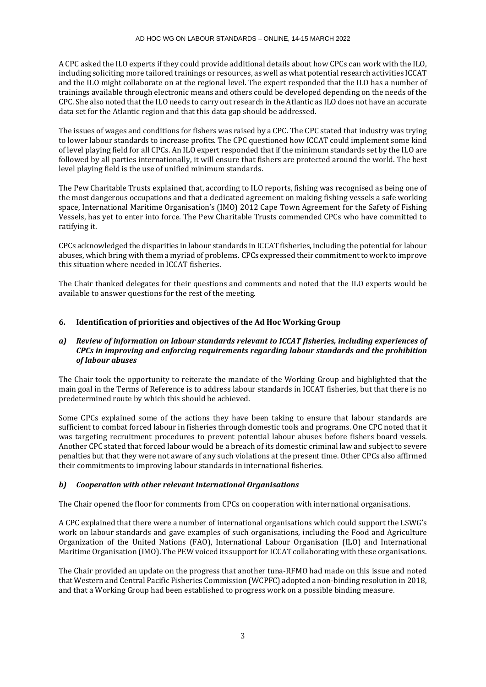A CPC asked the ILO experts if they could provide additional details about how CPCs can work with the ILO, including soliciting more tailored trainings or resources, as well as what potential research activities ICCAT and the ILO might collaborate on at the regional level. The expert responded that the ILO has a number of trainings available through electronic means and others could be developed depending on the needs of the CPC. She also noted that the ILO needs to carry out research in the Atlantic as ILO does not have an accurate data set for the Atlantic region and that this data gap should be addressed.

The issues of wages and conditions for fishers was raised by a CPC. The CPC stated that industry was trying to lower labour standards to increase profits. The CPC questioned how ICCAT could implement some kind of level playing field for all CPCs. An ILO expert responded that if the minimum standards set by the ILO are followed by all parties internationally, it will ensure that fishers are protected around the world. The best level playing field is the use of unified minimum standards.

The Pew Charitable Trusts explained that, according to ILO reports, fishing was recognised as being one of the most dangerous occupations and that a dedicated agreement on making fishing vessels a safe working space, International Maritime Organisation's (IMO) 2012 Cape Town Agreement for the Safety of Fishing Vessels, has yet to enter into force. The Pew Charitable Trusts commended CPCs who have committed to ratifying it.

CPCs acknowledged the disparities in labour standards in ICCAT fisheries, including the potential for labour abuses, which bring with them a myriad of problems. CPCs expressed their commitment to work to improve this situation where needed in ICCAT fisheries.

The Chair thanked delegates for their questions and comments and noted that the ILO experts would be available to answer questions for the rest of the meeting.

# **6. Identification of priorities and objectives of the Ad Hoc Working Group**

# *a) Review of information on labour standards relevant to ICCAT fisheries, including experiences of CPCs in improving and enforcing requirements regarding labour standards and the prohibition of labour abuses*

The Chair took the opportunity to reiterate the mandate of the Working Group and highlighted that the main goal in the Terms of Reference is to address labour standards in ICCAT fisheries, but that there is no predetermined route by which this should be achieved.

Some CPCs explained some of the actions they have been taking to ensure that labour standards are sufficient to combat forced labour in fisheries through domestic tools and programs. One CPC noted that it was targeting recruitment procedures to prevent potential labour abuses before fishers board vessels. Another CPC stated that forced labour would be a breach of its domestic criminal law and subject to severe penalties but that they were not aware of any such violations at the present time. Other CPCs also affirmed their commitments to improving labour standards in international fisheries.

# *b) Cooperation with other relevant International Organisations*

The Chair opened the floor for comments from CPCs on cooperation with international organisations.

A CPC explained that there were a number of international organisations which could support the LSWG's work on labour standards and gave examples of such organisations, including the Food and Agriculture Organization of the United Nations (FAO), International Labour Organisation (ILO) and International Maritime Organisation (IMO). The PEW voiced its support for ICCAT collaborating with these organisations.

The Chair provided an update on the progress that another tuna-RFMO had made on this issue and noted that Western and Central Pacific Fisheries Commission (WCPFC) adopted a non-binding resolution in 2018, and that a Working Group had been established to progress work on a possible binding measure.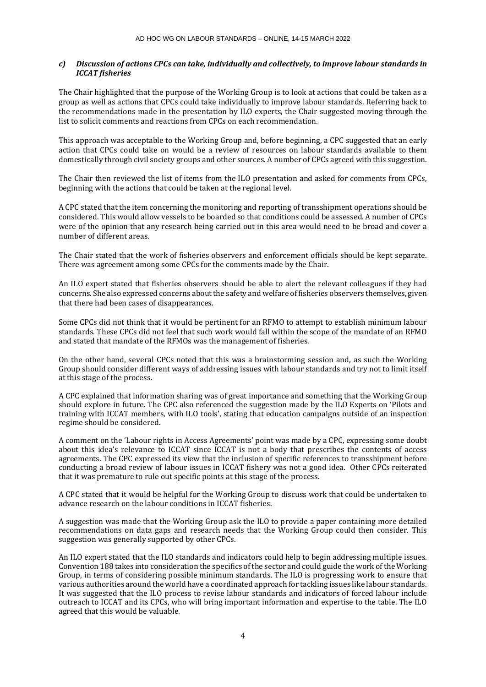# *c) Discussion of actions CPCs can take, individually and collectively, to improve labour standards in ICCAT fisheries*

The Chair highlighted that the purpose of the Working Group is to look at actions that could be taken as a group as well as actions that CPCs could take individually to improve labour standards. Referring back to the recommendations made in the presentation by ILO experts, the Chair suggested moving through the list to solicit comments and reactions from CPCs on each recommendation.

This approach was acceptable to the Working Group and, before beginning, a CPC suggested that an early action that CPCs could take on would be a review of resources on labour standards available to them domestically through civil society groups and other sources. A number of CPCs agreed with this suggestion.

The Chair then reviewed the list of items from the ILO presentation and asked for comments from CPCs, beginning with the actions that could be taken at the regional level.

A CPC stated that the item concerning the monitoring and reporting of transshipment operations should be considered. This would allow vessels to be boarded so that conditions could be assessed. A number of CPCs were of the opinion that any research being carried out in this area would need to be broad and cover a number of different areas.

The Chair stated that the work of fisheries observers and enforcement officials should be kept separate. There was agreement among some CPCs for the comments made by the Chair.

An ILO expert stated that fisheries observers should be able to alert the relevant colleagues if they had concerns. She also expressed concerns about the safety and welfare of fisheries observers themselves, given that there had been cases of disappearances.

Some CPCs did not think that it would be pertinent for an RFMO to attempt to establish minimum labour standards. These CPCs did not feel that such work would fall within the scope of the mandate of an RFMO and stated that mandate of the RFMOs was the management of fisheries.

On the other hand, several CPCs noted that this was a brainstorming session and, as such the Working Group should consider different ways of addressing issues with labour standards and try not to limit itself at this stage of the process.

A CPC explained that information sharing was of great importance and something that the Working Group should explore in future. The CPC also referenced the suggestion made by the ILO Experts on 'Pilots and training with ICCAT members, with ILO tools', stating that education campaigns outside of an inspection regime should be considered.

A comment on the 'Labour rights in Access Agreements' point was made by a CPC, expressing some doubt about this idea's relevance to ICCAT since ICCAT is not a body that prescribes the contents of access agreements. The CPC expressed its view that the inclusion of specific references to transshipment before conducting a broad review of labour issues in ICCAT fishery was not a good idea. Other CPCs reiterated that it was premature to rule out specific points at this stage of the process.

A CPC stated that it would be helpful for the Working Group to discuss work that could be undertaken to advance research on the labour conditions in ICCAT fisheries.

A suggestion was made that the Working Group ask the ILO to provide a paper containing more detailed recommendations on data gaps and research needs that the Working Group could then consider. This suggestion was generally supported by other CPCs.

An ILO expert stated that the ILO standards and indicators could help to begin addressing multiple issues. Convention 188 takes into consideration the specifics of the sector and could guide the work of the Working Group, in terms of considering possible minimum standards. The ILO is progressing work to ensure that various authorities around the world have a coordinated approach for tackling issues like labour standards. It was suggested that the ILO process to revise labour standards and indicators of forced labour include outreach to ICCAT and its CPCs, who will bring important information and expertise to the table. The ILO agreed that this would be valuable.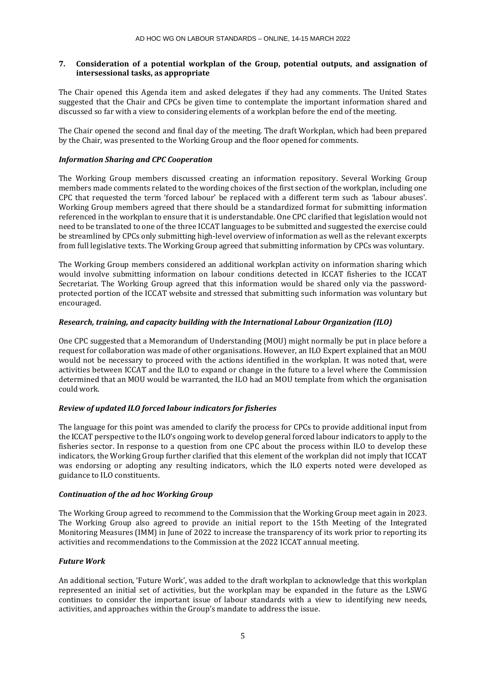# **7. Consideration of a potential workplan of the Group, potential outputs, and assignation of intersessional tasks, as appropriate**

The Chair opened this Agenda item and asked delegates if they had any comments. The United States suggested that the Chair and CPCs be given time to contemplate the important information shared and discussed so far with a view to considering elements of a workplan before the end of the meeting.

The Chair opened the second and final day of the meeting. The draft Workplan, which had been prepared by the Chair, was presented to the Working Group and the floor opened for comments.

# *Information Sharing and CPC Cooperation*

The Working Group members discussed creating an information repository. Several Working Group members made comments related to the wording choices of the first section of the workplan, including one CPC that requested the term 'forced labour' be replaced with a different term such as 'labour abuses'. Working Group members agreed that there should be a standardized format for submitting information referenced in the workplan to ensure that it is understandable. One CPC clarified that legislation would not need to be translated to one of the three ICCAT languages to be submitted and suggested the exercise could be streamlined by CPCs only submitting high-level overview of information as well as the relevant excerpts from full legislative texts. The Working Group agreed that submitting information by CPCs was voluntary.

The Working Group members considered an additional workplan activity on information sharing which would involve submitting information on labour conditions detected in ICCAT fisheries to the ICCAT Secretariat. The Working Group agreed that this information would be shared only via the passwordprotected portion of the ICCAT website and stressed that submitting such information was voluntary but encouraged.

# *Research, training, and capacity building with the International Labour Organization (ILO)*

One CPC suggested that a Memorandum of Understanding (MOU) might normally be put in place before a request for collaboration was made of other organisations. However, an ILO Expert explained that an MOU would not be necessary to proceed with the actions identified in the workplan. It was noted that, were activities between ICCAT and the ILO to expand or change in the future to a level where the Commission determined that an MOU would be warranted, the ILO had an MOU template from which the organisation could work.

# *Review of updated ILO forced labour indicators for fisheries*

The language for this point was amended to clarify the process for CPCs to provide additional input from the ICCAT perspective to the ILO's ongoing work to develop general forced labour indicators to apply to the fisheries sector. In response to a question from one CPC about the process within ILO to develop these indicators, the Working Group further clarified that this element of the workplan did not imply that ICCAT was endorsing or adopting any resulting indicators, which the ILO experts noted were developed as guidance to ILO constituents.

# *Continuation of the ad hoc Working Group*

The Working Group agreed to recommend to the Commission that the Working Group meet again in 2023. The Working Group also agreed to provide an initial report to the 15th Meeting of the Integrated Monitoring Measures (IMM) in June of 2022 to increase the transparency of its work prior to reporting its activities and recommendations to the Commission at the 2022 ICCAT annual meeting.

# *Future Work*

An additional section, 'Future Work', was added to the draft workplan to acknowledge that this workplan represented an initial set of activities, but the workplan may be expanded in the future as the LSWG continues to consider the important issue of labour standards with a view to identifying new needs, activities, and approaches within the Group's mandate to address the issue.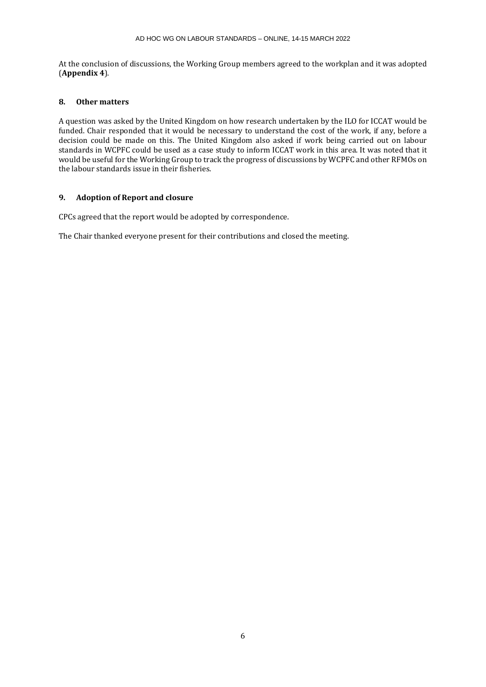At the conclusion of discussions, the Working Group members agreed to the workplan and it was adopted (**Appendix 4**).

# **8. Other matters**

A question was asked by the United Kingdom on how research undertaken by the ILO for ICCAT would be funded. Chair responded that it would be necessary to understand the cost of the work, if any, before a decision could be made on this. The United Kingdom also asked if work being carried out on labour standards in WCPFC could be used as a case study to inform ICCAT work in this area. It was noted that it would be useful for the Working Group to track the progress of discussions by WCPFC and other RFMOs on the labour standards issue in their fisheries.

# **9. Adoption of Report and closure**

CPCs agreed that the report would be adopted by correspondence.

The Chair thanked everyone present for their contributions and closed the meeting.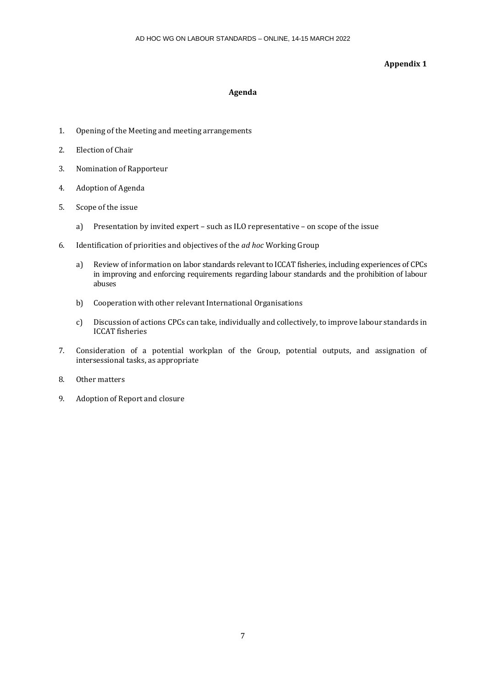# **Appendix 1**

# **Agenda**

- 1. Opening of the Meeting and meeting arrangements
- 2. Election of Chair
- 3. Nomination of Rapporteur
- 4. Adoption of Agenda
- 5. Scope of the issue
	- a) Presentation by invited expert such as ILO representative on scope of the issue
- 6. Identification of priorities and objectives of the *ad hoc* Working Group
	- a) Review of information on labor standards relevant to ICCAT fisheries, including experiences of CPCs in improving and enforcing requirements regarding labour standards and the prohibition of labour abuses
	- b) Cooperation with other relevant International Organisations
	- c) Discussion of actions CPCs can take, individually and collectively, to improve labour standards in ICCAT fisheries
- 7. Consideration of a potential workplan of the Group, potential outputs, and assignation of intersessional tasks, as appropriate
- 8. Other matters
- 9. Adoption of Report and closure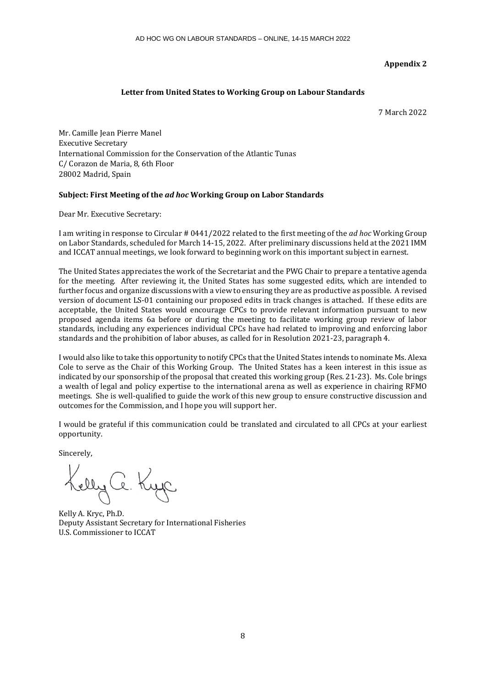# **Appendix 2**

# **Letter from United States to Working Group on Labour Standards**

7 March 2022

Mr. Camille Jean Pierre Manel Executive Secretary International Commission for the Conservation of the Atlantic Tunas C/ Corazon de Maria, 8, 6th Floor 28002 Madrid, Spain

# **Subject: First Meeting of the** *ad hoc* **Working Group on Labor Standards**

Dear Mr. Executive Secretary:

I am writing in response to Circular # 0441/2022 related to the first meeting of the *ad hoc* Working Group on Labor Standards, scheduled for March 14-15, 2022. After preliminary discussions held at the 2021 IMM and ICCAT annual meetings, we look forward to beginning work on this important subject in earnest.

The United States appreciates the work of the Secretariat and the PWG Chair to prepare a tentative agenda for the meeting. After reviewing it, the United States has some suggested edits, which are intended to further focus and organize discussions with a view to ensuring they are as productive as possible. A revised version of document LS-01 containing our proposed edits in track changes is attached. If these edits are acceptable, the United States would encourage CPCs to provide relevant information pursuant to new proposed agenda items 6a before or during the meeting to facilitate working group review of labor standards, including any experiences individual CPCs have had related to improving and enforcing labor standards and the prohibition of labor abuses, as called for in Resolution 2021-23, paragraph 4.

I would also like to take this opportunity to notify CPCs that the United States intends to nominate Ms. Alexa Cole to serve as the Chair of this Working Group. The United States has a keen interest in this issue as indicated by our sponsorship of the proposal that created this working group (Res. 21-23). Ms. Cole brings a wealth of legal and policy expertise to the international arena as well as experience in chairing RFMO meetings. She is well-qualified to guide the work of this new group to ensure constructive discussion and outcomes for the Commission, and I hope you will support her.

I would be grateful if this communication could be translated and circulated to all CPCs at your earliest opportunity.

Sincerely,

Kelly Ce. Kyc

Kelly A. Kryc, Ph.D. Deputy Assistant Secretary for International Fisheries U.S. Commissioner to ICCAT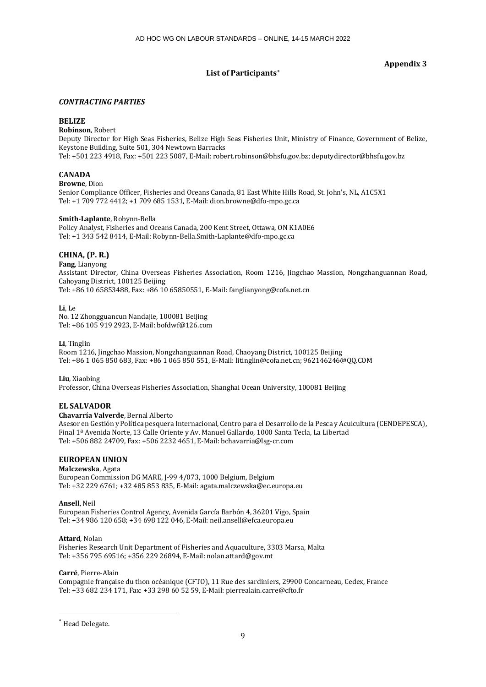# **List of Participants[\\*](#page-8-0)**

# **Appendix 3**

### *CONTRACTING PARTIES*

### **BELIZE**

**Robinson**, Robert

Deputy Director for High Seas Fisheries, Belize High Seas Fisheries Unit, Ministry of Finance, Government of Belize, Keystone Building, Suite 501, 304 Newtown Barracks Tel: +501 223 4918, Fax: +501 223 5087, E-Mail: robert.robinson@bhsfu.gov.bz; deputydirector@bhsfu.gov.bz

# **CANADA**

### **Browne**, Dion

Senior Compliance Officer, Fisheries and Oceans Canada, 81 East White Hills Road, St. John's, NL, A1C5X1 Tel: +1 709 772 4412; +1 709 685 1531, E-Mail: dion.browne@dfo-mpo.gc.ca

### **Smith-Laplante**, Robynn-Bella

Policy Analyst, Fisheries and Oceans Canada, 200 Kent Street, Ottawa, ON K1A0E6 Tel: +1 343 542 8414, E-Mail: Robynn-Bella.Smith-Laplante@dfo-mpo.gc.ca

# **CHINA, (P. R.)**

**Fang**, Lianyong Assistant Director, China Overseas Fisheries Association, Room 1216, Jingchao Massion, Nongzhanguannan Road, Cahoyang District, 100125 Beijing Tel: +86 10 65853488, Fax: +86 10 65850551, E-Mail: fanglianyong@cofa.net.cn

**Li**, Le No. 12 Zhongguancun Nandajie, 100081 Beijing Tel: +86 105 919 2923, E-Mail: bofdwf@126.com

### **Li**, Tinglin

Room 1216, Jingchao Massion, Nongzhanguannan Road, Chaoyang District, 100125 Beijing Tel: +86 1 065 850 683, Fax: +86 1 065 850 551, E-Mail: litinglin@cofa.net.cn; 962146246@QQ.COM

### **Liu**, Xiaobing

Professor, China Overseas Fisheries Association, Shanghai Ocean University, 100081 Beijing

# **EL SALVADOR**

## **Chavarría Valverde**, Bernal Alberto

Asesor en Gestión y Política pesquera Internacional, Centro para el Desarrollo de la Pesca y Acuicultura (CENDEPESCA), Final 1ª Avenida Norte, 13 Calle Oriente y Av. Manuel Gallardo, 1000 Santa Tecla, La Libertad Tel: +506 882 24709, Fax: +506 2232 4651, E-Mail: bchavarria@lsg-cr.com

## **EUROPEAN UNION**

### **Malczewska**, Agata

European Commission DG MARE, J-99 4/073, 1000 Belgium, Belgium Tel: +32 229 6761; +32 485 853 835, E-Mail: agata.malczewska@ec.europa.eu

### **Ansell**, Neil

European Fisheries Control Agency, Avenida García Barbón 4, 36201 Vigo, Spain Tel: +34 986 120 658; +34 698 122 046, E-Mail: neil.ansell@efca.europa.eu

# **Attard**, Nolan

Fisheries Research Unit Department of Fisheries and Aquaculture, 3303 Marsa, Malta Tel: +356 795 69516; +356 229 26894, E-Mail: nolan.attard@gov.mt

### **Carré**, Pierre-Alain

Compagnie française du thon océanique (CFTO), 11 Rue des sardiniers, 29900 Concarneau, Cedex, France Tel: +33 682 234 171, Fax: +33 298 60 52 59, E-Mail: pierrealain.carre@cfto.fr

<span id="page-8-0"></span><sup>\*</sup> Head Delegate.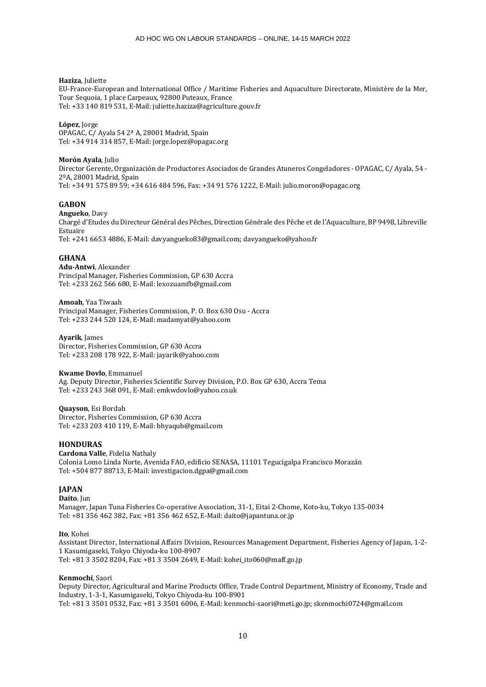### **Haziza**, Juliette

EU-France-European and International Office / Maritime Fisheries and Aquaculture Directorate, Ministère de la Mer, Tour Sequoia, 1 place Carpeaux, 92800 Puteaux, France Tel: +33 140 819 531, E-Mail: juliette.haziza@agriculture.gouv.fr

**López**, Jorge OPAGAC, C/ Ayala 54 2ª A, 28001 Madrid, Spain Tel: +34 914 314 857, E-Mail: jorge.lopez@opagac.org

#### **Morón Ayala**, Julio

Director Gerente, Organización de Productores Asociados de Grandes Atuneros Congeladores - OPAGAC, C/ Ayala, 54 - 2ºA, 28001 Madrid, Spain Tel: +34 91 575 89 59; +34 616 484 596, Fax: +34 91 576 1222, E-Mail: julio.moron@opagac.org

### **GABON**

**Angueko**, Davy Chargé d'Etudes du Directeur Général des Pêches, Direction Générale des Pêche et de l'Aquaculture, BP 9498, Libreville Estuaire Tel: +241 6653 4886, E-Mail: davyangueko83@gmail.com; davyangueko@yahoo.fr

### **GHANA**

**Adu-Antwi**, Alexander Principal Manager, Fisheries Commission, GP 630 Accra Tel: +233 262 566 680, E-Mail: lexozuamfb@gmail.com

**Amoah**, Yaa Tiwaah Principal Manager, Fisheries Commission, P. O. Box 630 Osu - Accra Tel: +233 244 520 124, E-Mail: madamyat@yahoo.com

#### **Ayarik**, James

Director, Fisheries Commission, GP 630 Accra Tel: +233 208 178 922, E-Mail: jayarik@yahoo.com

#### **Kwame Dovlo**, Emmanuel

Ag. Deputy Director, Fisheries Scientific Survey Division, P.O. Box GP 630, Accra Tema Tel: +233 243 368 091, E-Mail: emkwdovlo@yahoo.co.uk

#### **Quayson**, Esi Bordah

Director, Fisheries Commission, GP 630 Accra Tel: +233 203 410 119, E-Mail: bhyaqub@gmail.com

### **HONDURAS**

**Cardona Valle**, Fidelia Nathaly Colonia Lomo Linda Norte, Avenida FAO, edificio SENASA, 11101 Tegucigalpa Francisco Morazán Tel: +504 877 88713, E-Mail: investigacion.dgpa@gmail.com

#### **JAPAN Daito**, Jun

Manager, Japan Tuna Fisheries Co-operative Association, 31-1, Eitai 2-Chome, Koto-ku, Tokyo 135-0034 Tel: +81 356 462 382, Fax: +81 356 462 652, E-Mail: daito@japantuna.or.jp

### **Ito**, Kohei

Assistant Director, International Affairs Division, Resources Management Department, Fisheries Agency of Japan, 1-2- 1 Kasumigaseki, Tokyo Chiyoda-ku 100-8907 Tel: +81 3 3502 8204, Fax: +81 3 3504 2649, E-Mail: kohei\_ito060@maff.go.jp

### **Kenmochi**, Saori

Deputy Director, Agricultural and Marine Products Office, Trade Control Department, Ministry of Economy, Trade and Industry, 1-3-1, Kasumigaseki, Tokyo Chiyoda-ku 100-8901 Tel: +81 3 3501 0532, Fax: +81 3 3501 6006, E-Mail: kenmochi-saori@meti.go.jp; skenmochi0724@gmail.com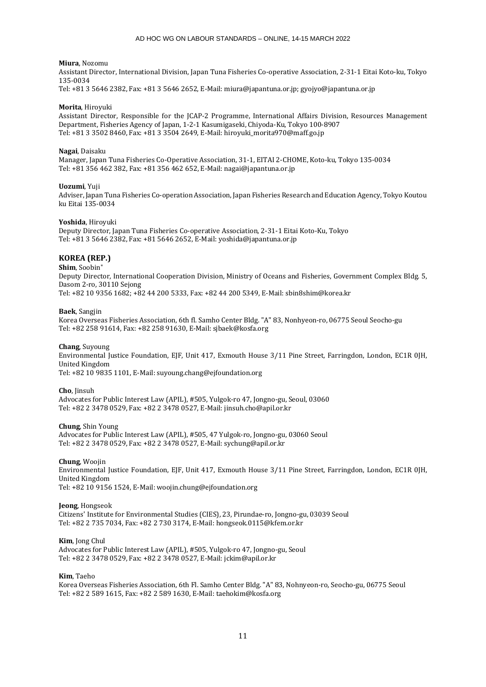#### **Miura**, Nozomu

Assistant Director, International Division, Japan Tuna Fisheries Co-operative Association, 2-31-1 Eitai Koto-ku, Tokyo 135-0034

Tel: +81 3 5646 2382, Fax: +81 3 5646 2652, E-Mail: miura@japantuna.or.jp; gyojyo@japantuna.or.jp

#### **Morita**, Hiroyuki

Assistant Director, Responsible for the JCAP-2 Programme, International Affairs Division, Resources Management Department, Fisheries Agency of Japan, 1-2-1 Kasumigaseki, Chiyoda-Ku, Tokyo 100-8907 Tel: +81 3 3502 8460, Fax: +81 3 3504 2649, E-Mail: hiroyuki\_morita970@maff.go.jp

#### **Nagai**, Daisaku

Manager, Japan Tuna Fisheries Co-Operative Association, 31-1, EITAI 2-CHOME, Koto-ku, Tokyo 135-0034 Tel: +81 356 462 382, Fax: +81 356 462 652, E-Mail: nagai@japantuna.or.jp

#### **Uozumi**, Yuji

Adviser, Japan Tuna Fisheries Co-operation Association, Japan Fisheries Research and Education Agency, Tokyo Koutou ku Eitai 135-0034

#### **Yoshida**, Hiroyuki

Deputy Director, Japan Tuna Fisheries Co-operative Association, 2-31-1 Eitai Koto-Ku, Tokyo Tel: +81 3 5646 2382, Fax: +81 5646 2652, E-Mail: yoshida@japantuna.or.jp

# **KOREA (REP.)**

### **Shim**, Soobin<sup>∗</sup>

Deputy Director, International Cooperation Division, Ministry of Oceans and Fisheries, Government Complex Bldg. 5, Dasom 2-ro, 30110 Sejong

Tel: +82 10 9356 1682; +82 44 200 5333, Fax: +82 44 200 5349, E-Mail: sbin8shim@korea.kr

#### **Baek**, Sangjin

Korea Overseas Fisheries Association, 6th fl. Samho Center Bldg. "A" 83, Nonhyeon-ro, 06775 Seoul Seocho-gu Tel: +82 258 91614, Fax: +82 258 91630, E-Mail: sjbaek@kosfa.org

#### **Chang**, Suyoung

Environmental Justice Foundation, EJF, Unit 417, Exmouth House 3/11 Pine Street, Farringdon, London, EC1R 0JH, United Kingdom

Tel: +82 10 9835 1101, E-Mail: suyoung.chang@ejfoundation.org

#### **Cho**, Jinsuh Advocates for Public Interest Law (APIL), #505, Yulgok-ro 47, Jongno-gu, Seoul, 03060 Tel: +82 2 3478 0529, Fax: +82 2 3478 0527, E-Mail: jinsuh.cho@apil.or.kr

#### **Chung**, Shin Young

Advocates for Public Interest Law (APIL), #505, 47 Yulgok-ro, Jongno-gu, 03060 Seoul Tel: +82 2 3478 0529, Fax: +82 2 3478 0527, E-Mail: sychung@apil.or.kr

#### **Chung**, Woojin

Environmental Justice Foundation, EJF, Unit 417, Exmouth House 3/11 Pine Street, Farringdon, London, EC1R 0JH, United Kingdom Tel: +82 10 9156 1524, E-Mail: woojin.chung@ejfoundation.org

#### **Jeong**, Hongseok

Citizens' Institute for Environmental Studies (CIES), 23, Pirundae-ro, Jongno-gu, 03039 Seoul Tel: +82 2 735 7034, Fax: +82 2 730 3174, E-Mail: hongseok.0115@kfem.or.kr

### **Kim**, Jong Chul

Advocates for Public Interest Law (APIL), #505, Yulgok-ro 47, Jongno-gu, Seoul Tel: +82 2 3478 0529, Fax: +82 2 3478 0527, E-Mail: jckim@apil.or.kr

#### **Kim**, Taeho

Korea Overseas Fisheries Association, 6th Fl. Samho Center Bldg. "A" 83, Nohnyeon-ro, Seocho-gu, 06775 Seoul Tel: +82 2 589 1615, Fax: +82 2 589 1630, E-Mail: taehokim@kosfa.org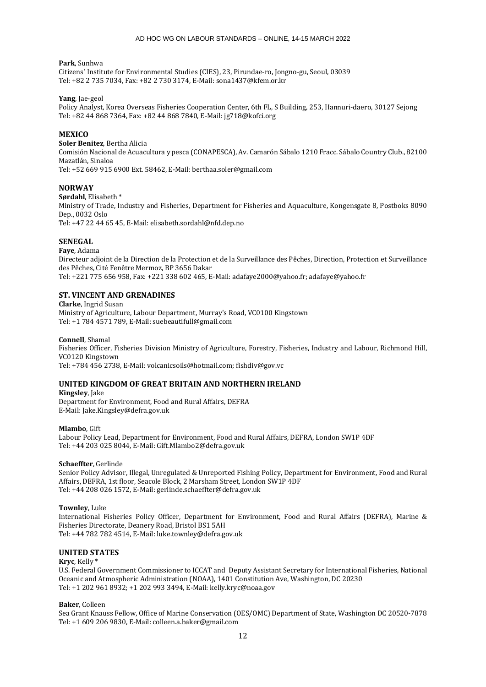#### **Park**, Sunhwa

Citizens' Institute for Environmental Studies (CIES), 23, Pirundae-ro, Jongno-gu, Seoul, 03039 Tel: +82 2 735 7034, Fax: +82 2 730 3174, E-Mail: sona1437@kfem.or.kr

### **Yang**, Jae-geol

Policy Analyst, Korea Overseas Fisheries Cooperation Center, 6th FL, S Building, 253, Hannuri-daero, 30127 Sejong Tel: +82 44 868 7364, Fax: +82 44 868 7840, E-Mail: jg718@kofci.org

### **MEXICO**

**Soler Benitez**, Bertha Alicia Comisión Nacional de Acuacultura y pesca (CONAPESCA), Av. Camarón Sábalo 1210 Fracc. Sábalo Country Club., 82100 Mazatlán, Sinaloa

Tel: +52 669 915 6900 Ext. 58462, E-Mail: berthaa.soler@gmail.com

### **NORWAY**

**Sørdahl**, Elisabeth \*

Ministry of Trade, Industry and Fisheries, Department for Fisheries and Aquaculture, Kongensgate 8, Postboks 8090 Dep., 0032 Oslo

Tel: +47 22 44 65 45, E-Mail: elisabeth.sordahl@nfd.dep.no

### **SENEGAL**

**Faye**, Adama

Directeur adjoint de la Direction de la Protection et de la Surveillance des Pêches, Direction, Protection et Surveillance des Pêches, Cité Fenêtre Mermoz, BP 3656 Dakar Tel: +221 775 656 958, Fax: +221 338 602 465, E-Mail: adafaye2000@yahoo.fr; adafaye@yahoo.fr

### **ST. VINCENT AND GRENADINES**

**Clarke**, Ingrid Susan Ministry of Agriculture, Labour Department, Murray's Road, VC0100 Kingstown Tel: +1 784 4571 789, E-Mail: suebeautifull@gmail.com

### **Connell**, Shamal

Fisheries Officer, Fisheries Division Ministry of Agriculture, Forestry, Fisheries, Industry and Labour, Richmond Hill, VC0120 Kingstown

Tel: +784 456 2738, E-Mail: volcanicsoils@hotmail.com; fishdiv@gov.vc

### **UNITED KINGDOM OF GREAT BRITAIN AND NORTHERN IRELAND**

**Kingsley**, Jake Department for Environment, Food and Rural Affairs, DEFRA E-Mail: Jake.Kingsley@defra.gov.uk

#### **Mlambo**, Gift

Labour Policy Lead, Department for Environment, Food and Rural Affairs, DEFRA, London SW1P 4DF Tel: +44 203 025 8044, E-Mail: Gift.Mlambo2@defra.gov.uk

### **Schaeffter**, Gerlinde

Senior Policy Advisor, Illegal, Unregulated & Unreported Fishing Policy, Department for Environment, Food and Rural Affairs, DEFRA, 1st floor, Seacole Block, 2 Marsham Street, London SW1P 4DF Tel: +44 208 026 1572, E-Mail: gerlinde.schaeffter@defra.gov.uk

#### **Townley**, Luke

International Fisheries Policy Officer, Department for Environment, Food and Rural Affairs (DEFRA), Marine & Fisheries Directorate, Deanery Road, Bristol BS1 5AH Tel: +44 782 782 4514, E-Mail: luke.townley@defra.gov.uk

# **UNITED STATES**

**Kryc**, Kelly \*

U.S. Federal Government Commissioner to ICCAT and Deputy Assistant Secretary for International Fisheries, National Oceanic and Atmospheric Administration (NOAA), 1401 Constitution Ave, Washington, DC 20230 Tel: +1 202 961 8932; +1 202 993 3494, E-Mail: kelly.kryc@noaa.gov

### **Baker**, Colleen

Sea Grant Knauss Fellow, Office of Marine Conservation (OES/OMC) Department of State, Washington DC 20520-7878 Tel: +1 609 206 9830, E-Mail: colleen.a.baker@gmail.com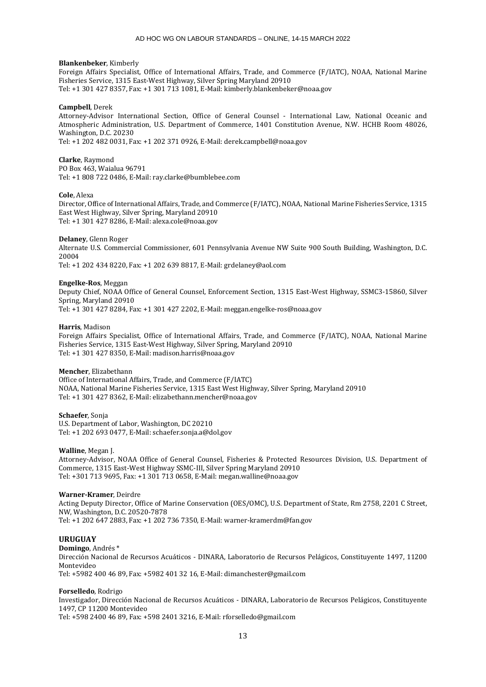#### **Blankenbeker**, Kimberly

Foreign Affairs Specialist, Office of International Affairs, Trade, and Commerce (F/IATC), NOAA, National Marine Fisheries Service, 1315 East-West Highway, Silver Spring Maryland 20910 Tel: +1 301 427 8357, Fax: +1 301 713 1081, E-Mail: kimberly.blankenbeker@noaa.gov

#### **Campbell**, Derek

Attorney-Advisor International Section, Office of General Counsel - International Law, National Oceanic and Atmospheric Administration, U.S. Department of Commerce, 1401 Constitution Avenue, N.W. HCHB Room 48026, Washington, D.C. 20230

Tel: +1 202 482 0031, Fax: +1 202 371 0926, E-Mail: derek.campbell@noaa.gov

**Clarke**, Raymond PO Box 463, Waialua 96791 Tel: +1 808 722 0486, E-Mail: ray.clarke@bumblebee.com

#### **Cole**, Alexa

Director, Office of International Affairs, Trade, and Commerce (F/IATC), NOAA, National Marine Fisheries Service, 1315 East West Highway, Silver Spring, Maryland 20910 Tel: +1 301 427 8286, E-Mail: alexa.cole@noaa.gov

#### **Delaney**, Glenn Roger

Alternate U.S. Commercial Commissioner, 601 Pennsylvania Avenue NW Suite 900 South Building, Washington, D.C. 20004

Tel: +1 202 434 8220, Fax: +1 202 639 8817, E-Mail: grdelaney@aol.com

#### **Engelke-Ros**, Meggan

Deputy Chief, NOAA Office of General Counsel, Enforcement Section, 1315 East-West Highway, SSMC3-15860, Silver Spring, Maryland 20910 Tel: +1 301 427 8284, Fax: +1 301 427 2202, E-Mail: meggan.engelke-ros@noaa.gov

# **Harris**, Madison

Foreign Affairs Specialist, Office of International Affairs, Trade, and Commerce (F/IATC), NOAA, National Marine Fisheries Service, 1315 East-West Highway, Silver Spring, Maryland 20910 Tel: +1 301 427 8350, E-Mail: madison.harris@noaa.gov

### **Mencher**, Elizabethann

Office of International Affairs, Trade, and Commerce (F/IATC) NOAA, National Marine Fisheries Service, 1315 East West Highway, Silver Spring, Maryland 20910 Tel: +1 301 427 8362, E-Mail: elizabethann.mencher@noaa.gov

**Schaefer**, Sonja U.S. Department of Labor, Washington, DC 20210

Tel: +1 202 693 0477, E-Mail: schaefer.sonja.a@dol.gov

#### **Walline**, Megan J.

Attorney-Advisor, NOAA Office of General Counsel, Fisheries & Protected Resources Division, U.S. Department of Commerce, 1315 East-West Highway SSMC-III, Silver Spring Maryland 20910 Tel: +301 713 9695, Fax: +1 301 713 0658, E-Mail: megan.walline@noaa.gov

### **Warner-Kramer**, Deirdre

Acting Deputy Director, Office of Marine Conservation (OES/OMC), U.S. Department of State, Rm 2758, 2201 C Street, NW, Washington, D.C. 20520-7878 Tel: +1 202 647 2883, Fax: +1 202 736 7350, E-Mail: warner-kramerdm@fan.gov

### **URUGUAY**

**Domingo**, Andrés \* Dirección Nacional de Recursos Acuáticos - DINARA, Laboratorio de Recursos Pelágicos, Constituyente 1497, 11200 Montevideo Tel: +5982 400 46 89, Fax: +5982 401 32 16, E-Mail: dimanchester@gmail.com

#### **Forselledo**, Rodrigo

Investigador, Dirección Nacional de Recursos Acuáticos - DINARA, Laboratorio de Recursos Pelágicos, Constituyente 1497, CP 11200 Montevideo

Tel: +598 2400 46 89, Fax: +598 2401 3216, E-Mail: rforselledo@gmail.com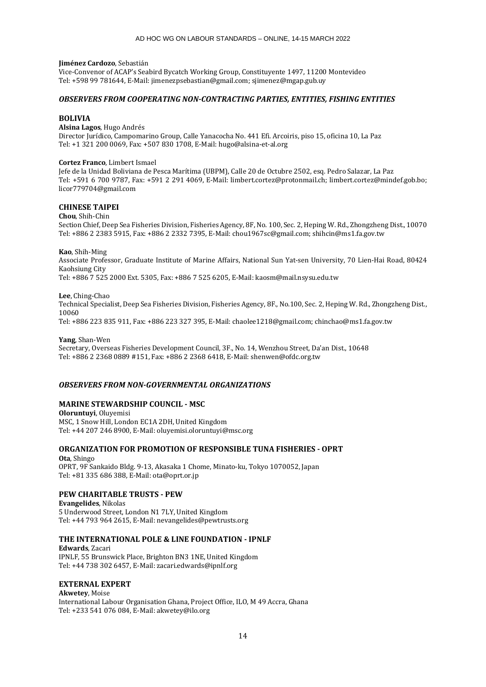#### **Jiménez Cardozo**, Sebastián

Vice-Convenor of ACAP's Seabird Bycatch Working Group, Constituyente 1497, 11200 Montevideo Tel: +598 99 781644, E-Mail: jimenezpsebastian@gmail.com; sjimenez@mgap.gub.uy

### *OBSERVERS FROM COOPERATING NON-CONTRACTING PARTIES, ENTITIES, FISHING ENTITIES*

### **BOLIVIA**

**Alsina Lagos**, Hugo Andrés Director Jurídico, Campomarino Group, Calle Yanacocha No. 441 Efi. Arcoiris, piso 15, oficina 10, La Paz Tel: +1 321 200 0069, Fax: +507 830 1708, E-Mail: hugo@alsina-et-al.org

### **Cortez Franco**, Limbert Ismael

Jefe de la Unidad Boliviana de Pesca Marítima (UBPM), Calle 20 de Octubre 2502, esq. Pedro Salazar, La Paz Tel: +591 6 700 9787, Fax: +591 2 291 4069, E-Mail: limbert.cortez@protonmail.ch; limbert.cortez@mindef.gob.bo; licor779704@gmail.com

# **CHINESE TAIPEI**

### **Chou**, Shih-Chin

Section Chief, Deep Sea Fisheries Division, Fisheries Agency, 8F, No. 100, Sec. 2, Heping W. Rd., Zhongzheng Dist., 10070 Tel: +886 2 2383 5915, Fax: +886 2 2332 7395, E-Mail: chou1967sc@gmail.com; shihcin@ms1.fa.gov.tw

### **Kao**, Shih-Ming

Associate Professor, Graduate Institute of Marine Affairs, National Sun Yat-sen University, 70 Lien-Hai Road, 80424 Kaohsiung City

Tel: +886 7 525 2000 Ext. 5305, Fax: +886 7 525 6205, E-Mail: kaosm@mail.nsysu.edu.tw

### **Lee**, Ching-Chao

Technical Specialist, Deep Sea Fisheries Division, Fisheries Agency, 8F., No.100, Sec. 2, Heping W. Rd., Zhongzheng Dist., 10060

Tel: +886 223 835 911, Fax: +886 223 327 395, E-Mail: chaolee1218@gmail.com; chinchao@ms1.fa.gov.tw

### **Yang**, Shan-Wen

Secretary, Overseas Fisheries Development Council, 3F., No. 14, Wenzhou Street, Da'an Dist., 10648 Tel: +886 2 2368 0889 #151, Fax: +886 2 2368 6418, E-Mail: shenwen@ofdc.org.tw

### *OBSERVERS FROM NON-GOVERNMENTAL ORGANIZATIONS*

### **MARINE STEWARDSHIP COUNCIL - MSC**

**Oloruntuyi**, Oluyemisi MSC, 1 Snow Hill, London EC1A 2DH, United Kingdom Tel: +44 207 246 8900, E-Mail: oluyemisi.oloruntuyi@msc.org

# **ORGANIZATION FOR PROMOTION OF RESPONSIBLE TUNA FISHERIES - OPRT**

**Ota**, Shingo OPRT, 9F Sankaido Bldg. 9-13, Akasaka 1 Chome, Minato-ku, Tokyo 1070052, Japan Tel: +81 335 686 388, E-Mail: ota@oprt.or.jp

### **PEW CHARITABLE TRUSTS - PEW**

**Evangelides**, Nikolas 5 Underwood Street, London N1 7LY, United Kingdom Tel: +44 793 964 2615, E-Mail: nevangelides@pewtrusts.org

### **THE INTERNATIONAL POLE & LINE FOUNDATION - IPNLF**

**Edwards**, Zacari IPNLF, 55 Brunswick Place, Brighton BN3 1NE, United Kingdom Tel: +44 738 302 6457, E-Mail: zacari.edwards@ipnlf.org

# **EXTERNAL EXPERT**

**Akwetey**, Moise International Labour Organisation Ghana, Project Office, ILO, M 49 Accra, Ghana Tel: +233 541 076 084, E-Mail: akwetey@ilo.org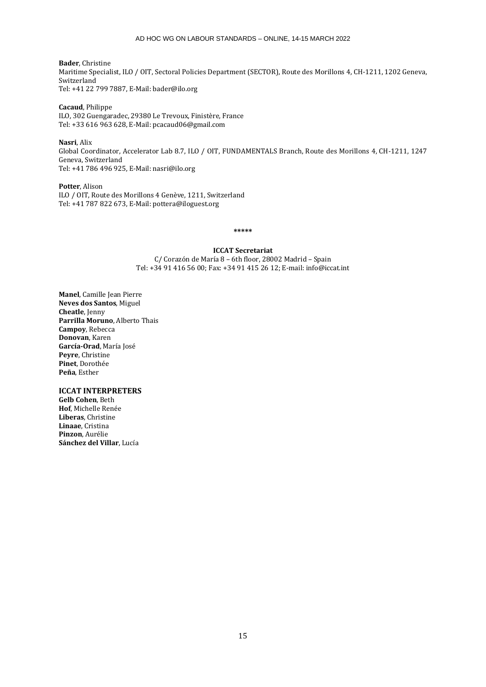**Bader**, Christine Maritime Specialist, ILO / OIT, Sectoral Policies Department (SECTOR), Route des Morillons 4, CH-1211, 1202 Geneva, Switzerland Tel: +41 22 799 7887, E-Mail: bader@ilo.org

**Cacaud**, Philippe ILO, 302 Guengaradec, 29380 Le Trevoux, Finistère, France Tel: +33 616 963 628, E-Mail: pcacaud06@gmail.com

**Nasri**, Alix Global Coordinator, Accelerator Lab 8.7, ILO / OIT, FUNDAMENTALS Branch, Route des Morillons 4, CH-1211, 1247 Geneva, Switzerland Tel: +41 786 496 925, E-Mail: nasri@ilo.org

**Potter**, Alison ILO / OIT, Route des Morillons 4 Genève, 1211, Switzerland Tel: +41 787 822 673, E-Mail: pottera@iloguest.org

**\*\*\*\*\***

**ICCAT Secretariat** C/ Corazón de María 8 – 6th floor, 28002 Madrid – Spain Tel: +34 91 416 56 00; Fax: +34 91 415 26 12; E-mail: info@iccat.int

**Manel**, Camille Jean Pierre **Neves dos Santos**, Miguel **Cheatle**, Jenny **Parrilla Moruno**, Alberto Thais **Campoy**, Rebecca **Donovan**, Karen **García-Orad**, María José **Peyre**, Christine **Pinet**, Dorothée **Peña**, Esther

**ICCAT INTERPRETERS**

**Gelb Cohen**, Beth **Hof**, Michelle Renée **Liberas**, Christine **Linaae**, Cristina **Pinzon**, Aurélie **Sánchez del Villar**, Lucía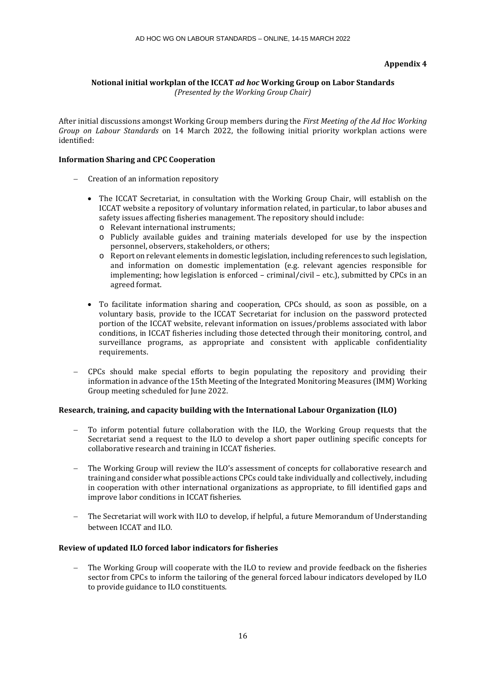# **Appendix 4**

# **Notional initial workplan of the ICCAT** *ad hoc* **Working Group on Labor Standards**

*(Presented by the Working Group Chair)*

After initial discussions amongst Working Group members during the *First Meeting of the Ad Hoc Working Group on Labour Standards* on 14 March 2022, the following initial priority workplan actions were identified:

# **Information Sharing and CPC Cooperation**

- − Creation of an information repository
	- The ICCAT Secretariat, in consultation with the Working Group Chair, will establish on the ICCAT website a repository of voluntary information related, in particular, to labor abuses and safety issues affecting fisheries management. The repository should include:
		- o Relevant international instruments;
		- o Publicly available guides and training materials developed for use by the inspection personnel, observers, stakeholders, or others;
		- o Report on relevant elements in domestic legislation, including references to such legislation, and information on domestic implementation (e.g. relevant agencies responsible for implementing; how legislation is enforced – criminal/civil – etc.), submitted by CPCs in an agreed format.
	- To facilitate information sharing and cooperation, CPCs should, as soon as possible, on a voluntary basis, provide to the ICCAT Secretariat for inclusion on the password protected portion of the ICCAT website, relevant information on issues/problems associated with labor conditions, in ICCAT fisheries including those detected through their monitoring, control, and surveillance programs, as appropriate and consistent with applicable confidentiality requirements.
- − CPCs should make special efforts to begin populating the repository and providing their information in advance of the 15th Meeting of the Integrated Monitoring Measures (IMM) Working Group meeting scheduled for June 2022.

# **Research, training, and capacity building with the International Labour Organization (ILO)**

- To inform potential future collaboration with the ILO, the Working Group requests that the Secretariat send a request to the ILO to develop a short paper outlining specific concepts for collaborative research and training in ICCAT fisheries.
- The Working Group will review the ILO's assessment of concepts for collaborative research and training and consider what possible actions CPCs could take individually and collectively, including in cooperation with other international organizations as appropriate, to fill identified gaps and improve labor conditions in ICCAT fisheries.
- The Secretariat will work with ILO to develop, if helpful, a future Memorandum of Understanding between ICCAT and ILO.

# **Review of updated ILO forced labor indicators for fisheries**

The Working Group will cooperate with the ILO to review and provide feedback on the fisheries sector from CPCs to inform the tailoring of the general forced labour indicators developed by ILO to provide guidance to ILO constituents.